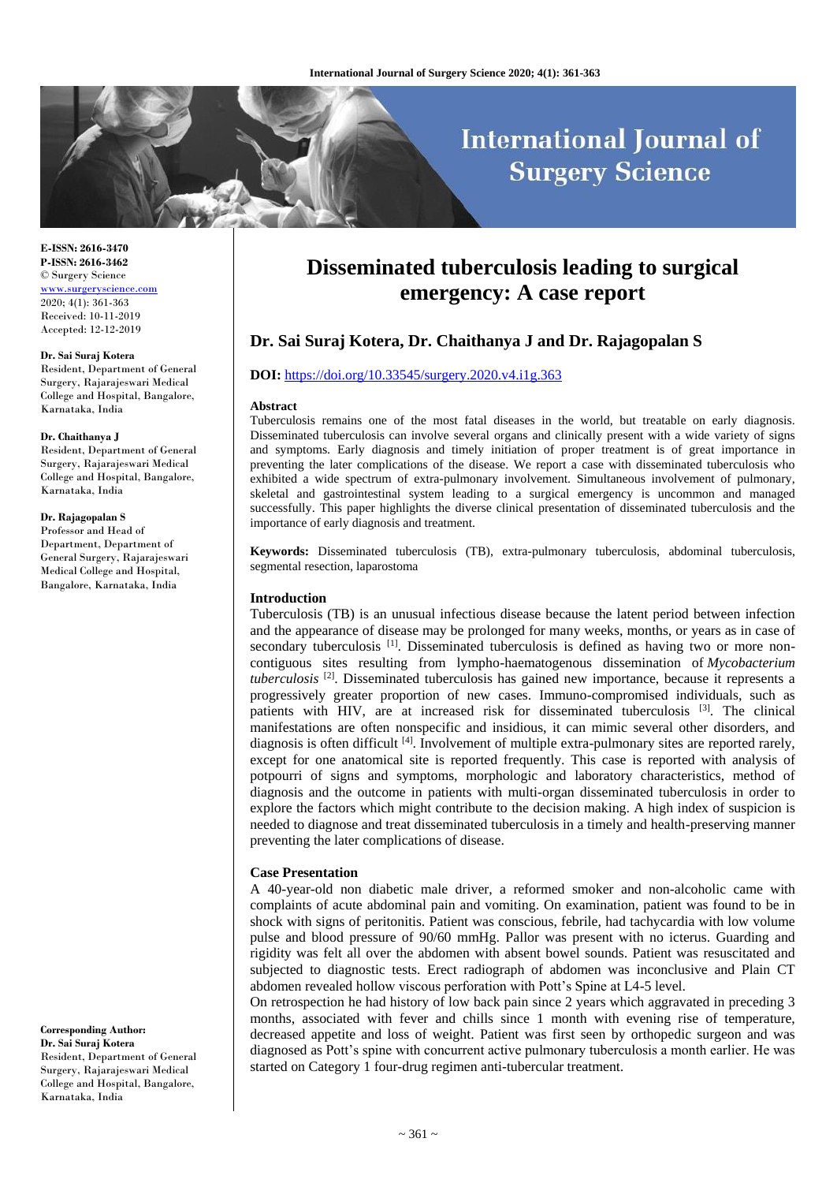# **International Journal of Surgery Science**

**E-ISSN: 2616-3470 P-ISSN: 2616-3462** © Surgery Science <www.surgeryscience.com> 2020; 4(1): 361-363 Received: 10-11-2019 Accepted: 12-12-2019

#### **Dr. Sai Suraj Kotera**

Resident, Department of General Surgery, Rajarajeswari Medical College and Hospital, Bangalore, Karnataka, India

#### **Dr. Chaithanya J**

Resident, Department of General Surgery, Rajarajeswari Medical College and Hospital, Bangalore, Karnataka, India

## **Dr. Rajagopalan S**

Professor and Head of Department, Department of General Surgery, Rajarajeswari Medical College and Hospital, Bangalore, Karnataka, India

**Corresponding Author: Dr. Sai Suraj Kotera** Resident, Department of General Surgery, Rajarajeswari Medical College and Hospital, Bangalore, Karnataka, India

## **Disseminated tuberculosis leading to surgical emergency: A case report**

## **Dr. Sai Suraj Kotera, Dr. Chaithanya J and Dr. Rajagopalan S**

#### **DOI:** <https://doi.org/10.33545/surgery.2020.v4.i1g.363>

#### **Abstract**

Tuberculosis remains one of the most fatal diseases in the world, but treatable on early diagnosis. Disseminated tuberculosis can involve several organs and clinically present with a wide variety of signs and symptoms. Early diagnosis and timely initiation of proper treatment is of great importance in preventing the later complications of the disease. We report a case with disseminated tuberculosis who exhibited a wide spectrum of extra-pulmonary involvement. Simultaneous involvement of pulmonary, skeletal and gastrointestinal system leading to a surgical emergency is uncommon and managed successfully. This paper highlights the diverse clinical presentation of disseminated tuberculosis and the importance of early diagnosis and treatment.

**Keywords:** Disseminated tuberculosis (TB), extra-pulmonary tuberculosis, abdominal tuberculosis, segmental resection, laparostoma

## **Introduction**

Tuberculosis (TB) is an unusual infectious disease because the latent period between infection and the appearance of disease may be prolonged for many weeks, months, or years as in case of secondary tuberculosis  $[1]$ . Disseminated tuberculosis is defined as having two or more noncontiguous sites resulting from lympho-haematogenous dissemination of *Mycobacterium tuberculosis* [2]. Disseminated tuberculosis has gained new importance, because it represents a progressively greater proportion of new cases. Immuno-compromised individuals, such as patients with HIV, are at increased risk for disseminated tuberculosis [3]. The clinical manifestations are often nonspecific and insidious, it can mimic several other disorders, and diagnosis is often difficult [4]. Involvement of multiple extra-pulmonary sites are reported rarely, except for one anatomical site is reported frequently. This case is reported with analysis of potpourri of signs and symptoms, morphologic and laboratory characteristics, method of diagnosis and the outcome in patients with multi-organ disseminated tuberculosis in order to explore the factors which might contribute to the decision making. A high index of suspicion is needed to diagnose and treat disseminated tuberculosis in a timely and health-preserving manner preventing the later complications of disease.

## **Case Presentation**

A 40-year-old non diabetic male driver, a reformed smoker and non-alcoholic came with complaints of acute abdominal pain and vomiting. On examination, patient was found to be in shock with signs of peritonitis. Patient was conscious, febrile, had tachycardia with low volume pulse and blood pressure of 90/60 mmHg. Pallor was present with no icterus. Guarding and rigidity was felt all over the abdomen with absent bowel sounds. Patient was resuscitated and subjected to diagnostic tests. Erect radiograph of abdomen was inconclusive and Plain CT abdomen revealed hollow viscous perforation with Pott's Spine at L4-5 level.

On retrospection he had history of low back pain since 2 years which aggravated in preceding 3 months, associated with fever and chills since 1 month with evening rise of temperature, decreased appetite and loss of weight. Patient was first seen by orthopedic surgeon and was diagnosed as Pott's spine with concurrent active pulmonary tuberculosis a month earlier. He was started on Category 1 four-drug regimen anti-tubercular treatment.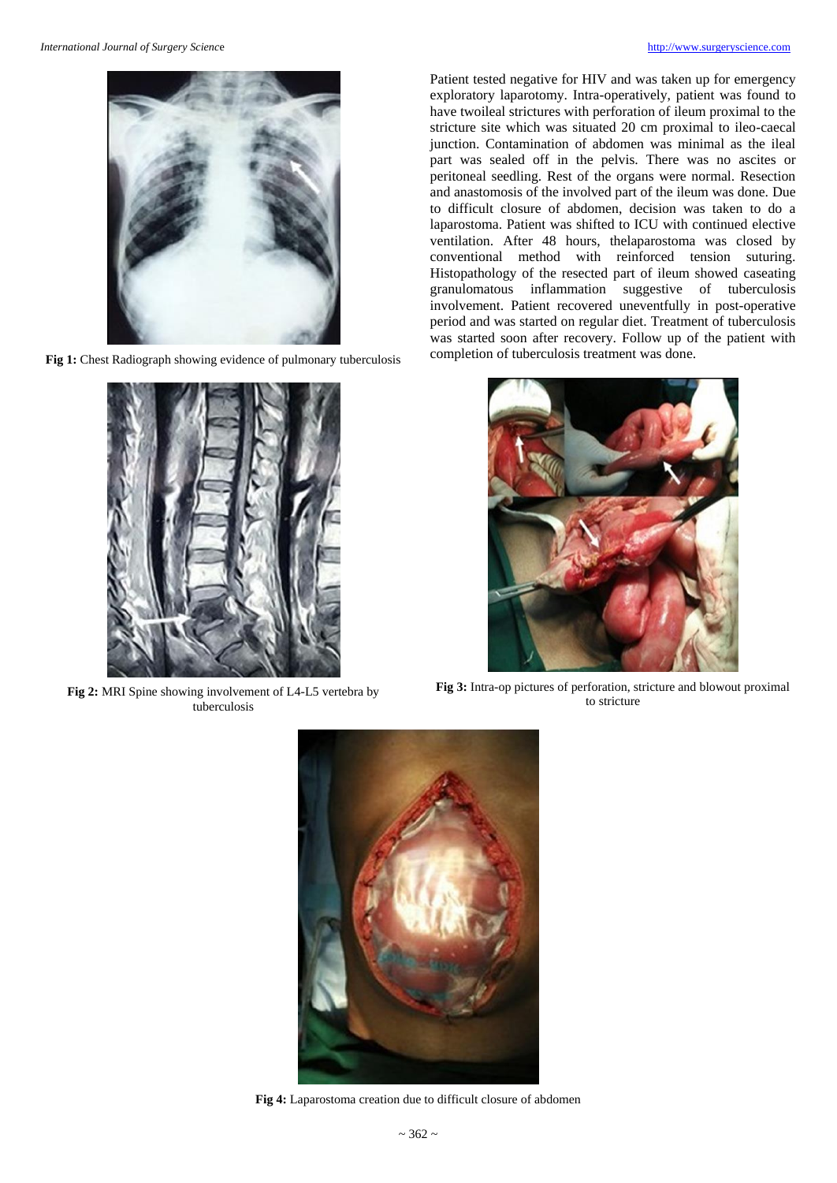

**Fig 1:** Chest Radiograph showing evidence of pulmonary tuberculosis



**Fig 2:** MRI Spine showing involvement of L4-L5 vertebra by tuberculosis

Patient tested negative for HIV and was taken up for emergency exploratory laparotomy. Intra-operatively, patient was found to have twoileal strictures with perforation of ileum proximal to the stricture site which was situated 20 cm proximal to ileo-caecal junction. Contamination of abdomen was minimal as the ileal part was sealed off in the pelvis. There was no ascites or peritoneal seedling. Rest of the organs were normal. Resection and anastomosis of the involved part of the ileum was done. Due to difficult closure of abdomen, decision was taken to do a laparostoma. Patient was shifted to ICU with continued elective ventilation. After 48 hours, thelaparostoma was closed by conventional method with reinforced tension suturing. Histopathology of the resected part of ileum showed caseating granulomatous inflammation suggestive of tuberculosis involvement. Patient recovered uneventfully in post-operative period and was started on regular diet. Treatment of tuberculosis was started soon after recovery. Follow up of the patient with completion of tuberculosis treatment was done.



**Fig 3:** Intra-op pictures of perforation, stricture and blowout proximal to stricture



**Fig 4:** Laparostoma creation due to difficult closure of abdomen